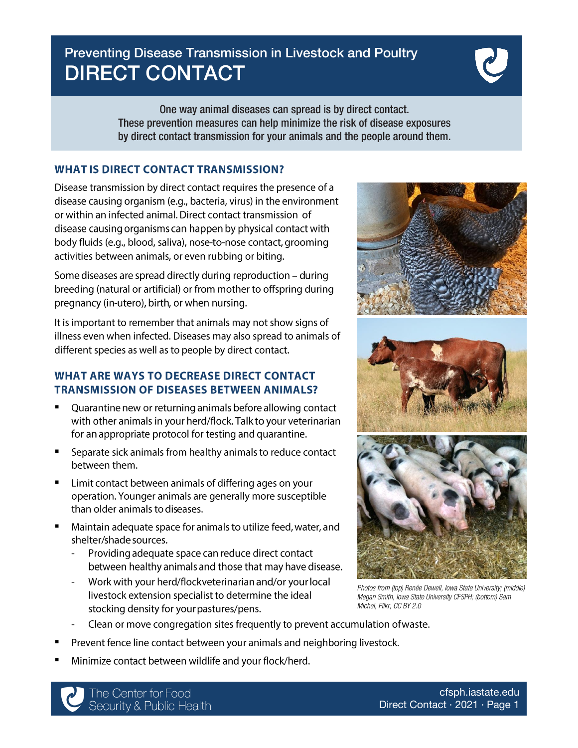# Preventing Disease Transmission in Livestock and Poultry DIRECT CONTACT

One way animal diseases can spread is by direct contact. These prevention measures can help minimize the risk of disease exposures by direct contact transmission for your animals and the people around them.

#### **WHAT IS DIRECT CONTACT TRANSMISSION?**

Disease transmission by direct contact requires the presence of a disease causing organism (e.g., bacteria, virus) in the environment or within an infected animal. Direct contact transmission of disease causing organisms can happen by physical contact with body fluids (e.g., blood, saliva), nose-to-nose contact, grooming activities between animals, or even rubbing or biting.

Some diseases are spread directly during reproduction - during breeding (natural or artificial) or from mother to offspring during pregnancy (in-utero), birth, or when nursing.

It is important to remember that animals may not show signs of illness even when infected. Diseases may also spread to animals of different species as well as to people by direct contact.

## **WHAT ARE WAYS TO DECREASE DIRECT CONTACT TRANSMISSION OF DISEASES BETWEEN ANIMALS?**

- $\blacksquare$ Quarantine new or returning animals before allowing contact with other animals in your herd/flock. Talk to your veterinarian for an appropriate protocol for testing and quarantine.
- **E** Separate sick animals from healthy animals to reduce contact between them.
- " Limit contact between animals of differing ages on your operation. Younger animals are generally more susceptible than older animals to diseases.
- $\blacksquare$ Maintain adequate space for animals to utilize feed, water, and shelter/shade sources.
	- Providing adequate space can reduce direct contact between healthy animals and those that may have disease.
	- Work with your herd/flockveterinarian and/or your local livestock extension specialist to determine the ideal stocking density for your pastures/pens.
	- Clean or move congregation sites frequently to prevent accumulation of waste.
- $\blacksquare$ Prevent fence line contact between your animals and neighboring livestock.
- $\blacksquare$ Minimize contact between wildlife and your flock/herd.

The Center for Food Security & Public Health

*Michel, Flikr, CC BY 2.0*